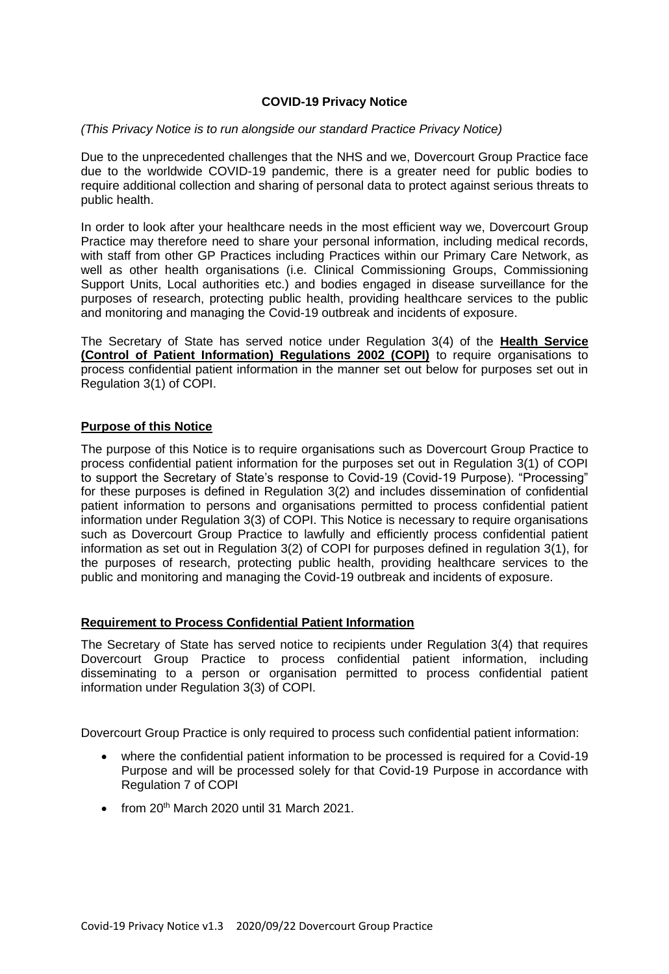## **COVID-19 Privacy Notice**

#### *(This Privacy Notice is to run alongside our standard Practice Privacy Notice)*

Due to the unprecedented challenges that the NHS and we, Dovercourt Group Practice face due to the worldwide COVID-19 pandemic, there is a greater need for public bodies to require additional collection and sharing of personal data to protect against serious threats to public health.

In order to look after your healthcare needs in the most efficient way we, Dovercourt Group Practice may therefore need to share your personal information, including medical records, with staff from other GP Practices including Practices within our Primary Care Network, as well as other health organisations (i.e. Clinical Commissioning Groups, Commissioning Support Units, Local authorities etc.) and bodies engaged in disease surveillance for the purposes of research, protecting public health, providing healthcare services to the public and monitoring and managing the Covid-19 outbreak and incidents of exposure.

The Secretary of State has served notice under Regulation 3(4) of the **Health Service (Control of Patient Information) Regulations 2002 (COPI)** to require organisations to process confidential patient information in the manner set out below for purposes set out in Regulation 3(1) of COPI.

### **Purpose of this Notice**

The purpose of this Notice is to require organisations such as Dovercourt Group Practice to process confidential patient information for the purposes set out in Regulation 3(1) of COPI to support the Secretary of State's response to Covid-19 (Covid-19 Purpose). "Processing" for these purposes is defined in Regulation 3(2) and includes dissemination of confidential patient information to persons and organisations permitted to process confidential patient information under Regulation 3(3) of COPI. This Notice is necessary to require organisations such as Dovercourt Group Practice to lawfully and efficiently process confidential patient information as set out in Regulation 3(2) of COPI for purposes defined in regulation 3(1), for the purposes of research, protecting public health, providing healthcare services to the public and monitoring and managing the Covid-19 outbreak and incidents of exposure.

### **Requirement to Process Confidential Patient Information**

The Secretary of State has served notice to recipients under Regulation 3(4) that requires Dovercourt Group Practice to process confidential patient information, including disseminating to a person or organisation permitted to process confidential patient information under Regulation 3(3) of COPI.

Dovercourt Group Practice is only required to process such confidential patient information:

- where the confidential patient information to be processed is required for a Covid-19 Purpose and will be processed solely for that Covid-19 Purpose in accordance with Regulation 7 of COPI
- from  $20<sup>th</sup>$  March 2020 until 31 March 2021.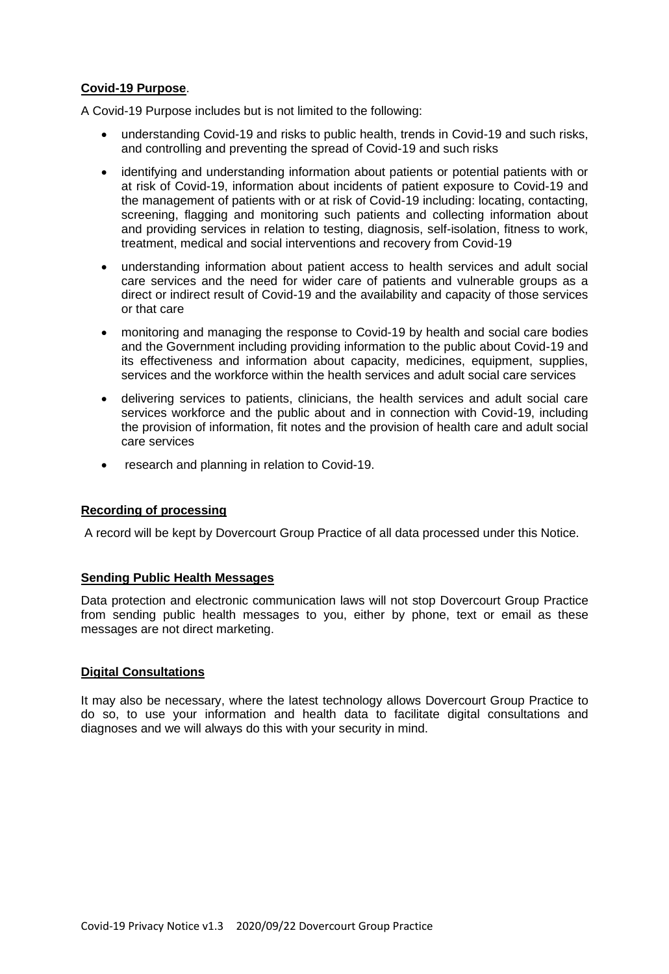# **Covid-19 Purpose**.

A Covid-19 Purpose includes but is not limited to the following:

- understanding Covid-19 and risks to public health, trends in Covid-19 and such risks, and controlling and preventing the spread of Covid-19 and such risks
- identifying and understanding information about patients or potential patients with or at risk of Covid-19, information about incidents of patient exposure to Covid-19 and the management of patients with or at risk of Covid-19 including: locating, contacting, screening, flagging and monitoring such patients and collecting information about and providing services in relation to testing, diagnosis, self-isolation, fitness to work, treatment, medical and social interventions and recovery from Covid-19
- understanding information about patient access to health services and adult social care services and the need for wider care of patients and vulnerable groups as a direct or indirect result of Covid-19 and the availability and capacity of those services or that care
- monitoring and managing the response to Covid-19 by health and social care bodies and the Government including providing information to the public about Covid-19 and its effectiveness and information about capacity, medicines, equipment, supplies, services and the workforce within the health services and adult social care services
- delivering services to patients, clinicians, the health services and adult social care services workforce and the public about and in connection with Covid-19, including the provision of information, fit notes and the provision of health care and adult social care services
- research and planning in relation to Covid-19.

# **Recording of processing**

A record will be kept by Dovercourt Group Practice of all data processed under this Notice.

### **Sending Public Health Messages**

Data protection and electronic communication laws will not stop Dovercourt Group Practice from sending public health messages to you, either by phone, text or email as these messages are not direct marketing.

### **Digital Consultations**

It may also be necessary, where the latest technology allows Dovercourt Group Practice to do so, to use your information and health data to facilitate digital consultations and diagnoses and we will always do this with your security in mind.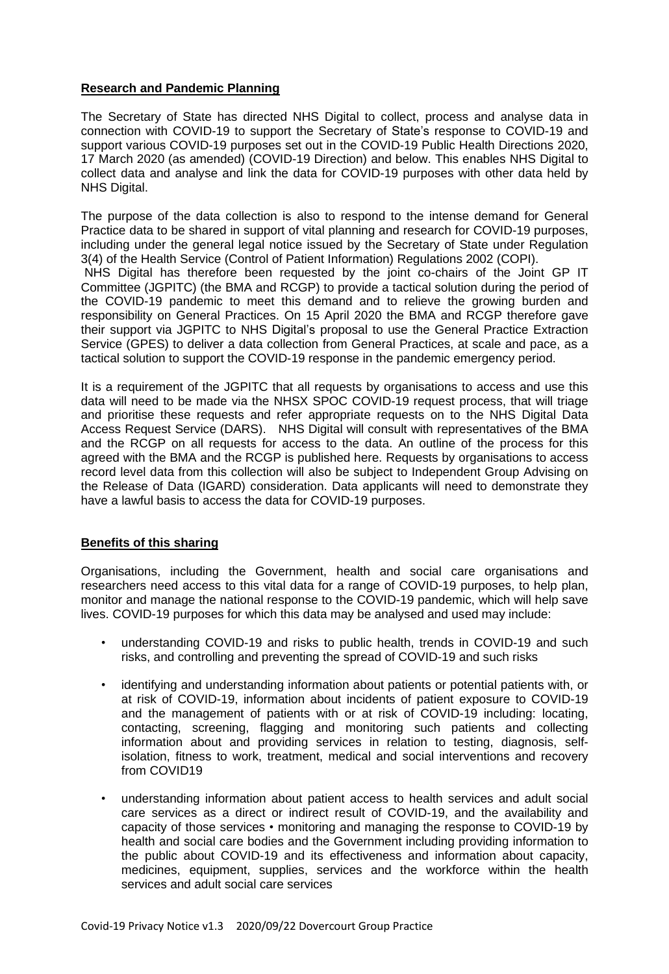## **Research and Pandemic Planning**

The Secretary of State has directed NHS Digital to collect, process and analyse data in connection with COVID-19 to support the Secretary of State's response to COVID-19 and support various COVID-19 purposes set out in the COVID-19 Public Health Directions 2020, 17 March 2020 (as amended) (COVID-19 Direction) and below. This enables NHS Digital to collect data and analyse and link the data for COVID-19 purposes with other data held by NHS Digital.

The purpose of the data collection is also to respond to the intense demand for General Practice data to be shared in support of vital planning and research for COVID-19 purposes, including under the general legal notice issued by the Secretary of State under Regulation 3(4) of the Health Service (Control of Patient Information) Regulations 2002 (COPI). NHS Digital has therefore been requested by the joint co-chairs of the Joint GP IT

Committee (JGPITC) (the BMA and RCGP) to provide a tactical solution during the period of the COVID-19 pandemic to meet this demand and to relieve the growing burden and responsibility on General Practices. On 15 April 2020 the BMA and RCGP therefore gave their support via JGPITC to NHS Digital's proposal to use the General Practice Extraction Service (GPES) to deliver a data collection from General Practices, at scale and pace, as a tactical solution to support the COVID-19 response in the pandemic emergency period.

It is a requirement of the JGPITC that all requests by organisations to access and use this data will need to be made via the NHSX SPOC COVID-19 request process, that will triage and prioritise these requests and refer appropriate requests on to the NHS Digital Data Access Request Service (DARS). NHS Digital will consult with representatives of the BMA and the RCGP on all requests for access to the data. An outline of the process for this agreed with the BMA and the RCGP is published here. Requests by organisations to access record level data from this collection will also be subject to Independent Group Advising on the Release of Data (IGARD) consideration. Data applicants will need to demonstrate they have a lawful basis to access the data for COVID-19 purposes.

# **Benefits of this sharing**

Organisations, including the Government, health and social care organisations and researchers need access to this vital data for a range of COVID-19 purposes, to help plan, monitor and manage the national response to the COVID-19 pandemic, which will help save lives. COVID-19 purposes for which this data may be analysed and used may include:

- understanding COVID-19 and risks to public health, trends in COVID-19 and such risks, and controlling and preventing the spread of COVID-19 and such risks
- identifying and understanding information about patients or potential patients with, or at risk of COVID-19, information about incidents of patient exposure to COVID-19 and the management of patients with or at risk of COVID-19 including: locating, contacting, screening, flagging and monitoring such patients and collecting information about and providing services in relation to testing, diagnosis, selfisolation, fitness to work, treatment, medical and social interventions and recovery from COVID19
- understanding information about patient access to health services and adult social care services as a direct or indirect result of COVID-19, and the availability and capacity of those services • monitoring and managing the response to COVID-19 by health and social care bodies and the Government including providing information to the public about COVID-19 and its effectiveness and information about capacity, medicines, equipment, supplies, services and the workforce within the health services and adult social care services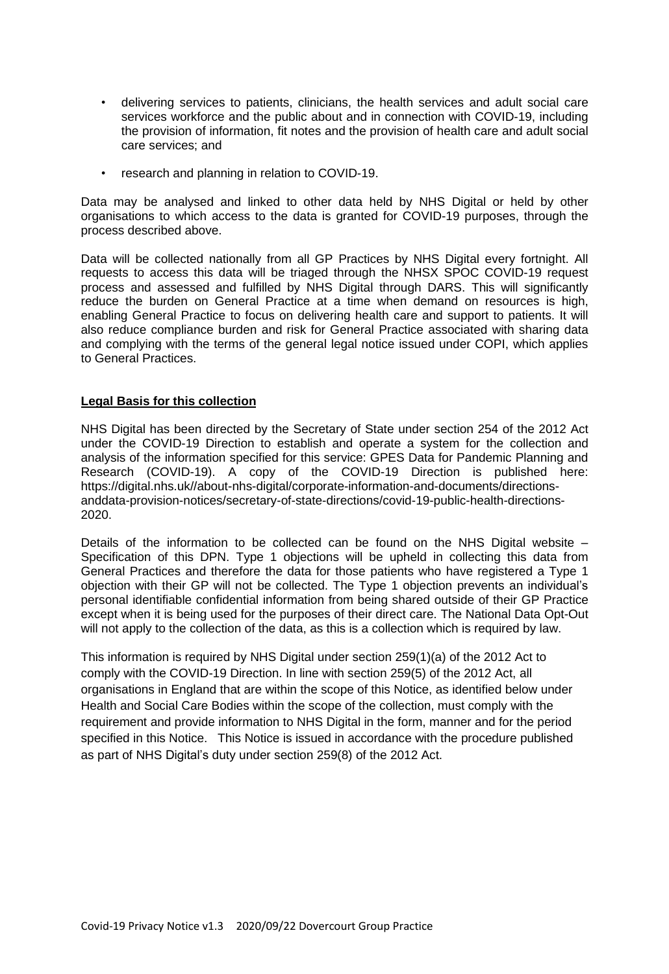- delivering services to patients, clinicians, the health services and adult social care services workforce and the public about and in connection with COVID-19, including the provision of information, fit notes and the provision of health care and adult social care services; and
- research and planning in relation to COVID-19.

Data may be analysed and linked to other data held by NHS Digital or held by other organisations to which access to the data is granted for COVID-19 purposes, through the process described above.

Data will be collected nationally from all GP Practices by NHS Digital every fortnight. All requests to access this data will be triaged through the NHSX SPOC COVID-19 request process and assessed and fulfilled by NHS Digital through DARS. This will significantly reduce the burden on General Practice at a time when demand on resources is high, enabling General Practice to focus on delivering health care and support to patients. It will also reduce compliance burden and risk for General Practice associated with sharing data and complying with the terms of the general legal notice issued under COPI, which applies to General Practices.

### **Legal Basis for this collection**

NHS Digital has been directed by the Secretary of State under section 254 of the 2012 Act under the COVID-19 Direction to establish and operate a system for the collection and analysis of the information specified for this service: GPES Data for Pandemic Planning and Research (COVID-19). A copy of the COVID-19 Direction is published here: https://digital.nhs.uk//about-nhs-digital/corporate-information-and-documents/directionsanddata-provision-notices/secretary-of-state-directions/covid-19-public-health-directions-2020.

Details of the information to be collected can be found on the NHS Digital website – Specification of this DPN. Type 1 objections will be upheld in collecting this data from General Practices and therefore the data for those patients who have registered a Type 1 objection with their GP will not be collected. The Type 1 objection prevents an individual's personal identifiable confidential information from being shared outside of their GP Practice except when it is being used for the purposes of their direct care. The National Data Opt-Out will not apply to the collection of the data, as this is a collection which is required by law.

This information is required by NHS Digital under section 259(1)(a) of the 2012 Act to comply with the COVID-19 Direction. In line with section 259(5) of the 2012 Act, all organisations in England that are within the scope of this Notice, as identified below under Health and Social Care Bodies within the scope of the collection, must comply with the requirement and provide information to NHS Digital in the form, manner and for the period specified in this Notice. This Notice is issued in accordance with the procedure published as part of NHS Digital's duty under section 259(8) of the 2012 Act.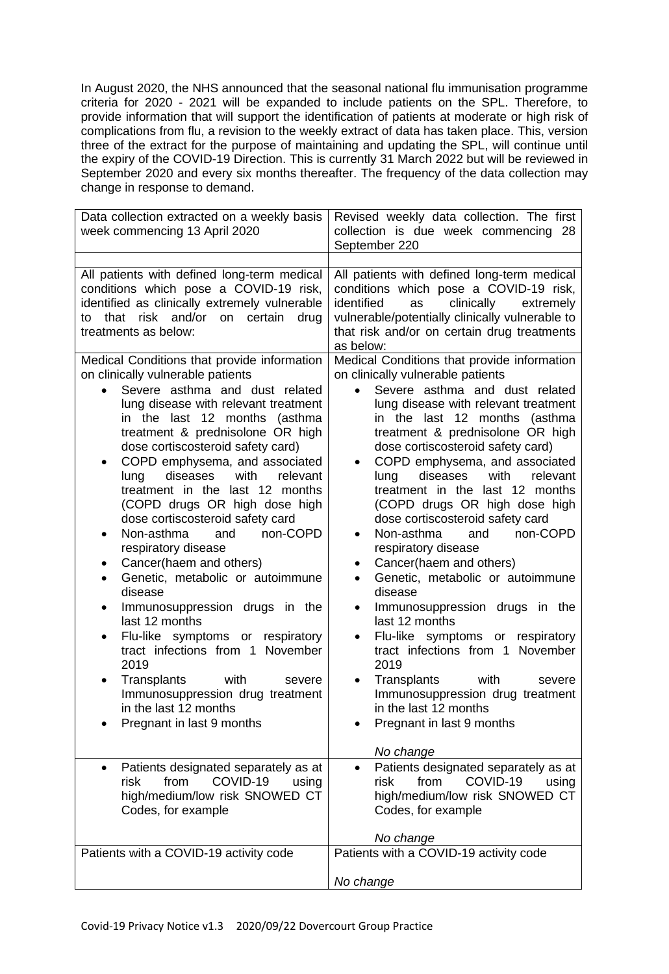In August 2020, the NHS announced that the seasonal national flu immunisation programme criteria for 2020 - 2021 will be expanded to include patients on the SPL. Therefore, to provide information that will support the identification of patients at moderate or high risk of complications from flu, a revision to the weekly extract of data has taken place. This, version three of the extract for the purpose of maintaining and updating the SPL, will continue until the expiry of the COVID-19 Direction. This is currently 31 March 2022 but will be reviewed in September 2020 and every six months thereafter. The frequency of the data collection may change in response to demand.

| Data collection extracted on a weekly basis<br>week commencing 13 April 2020                                                                                                                                                                                                                                                                                                                                                                                                                                                                                                                                                                                                                                                                                                                                                                                                                                                                                                                                                                                                            | Revised weekly data collection. The first<br>collection is due week commencing 28<br>September 220                                                                                                                                                                                                                                                                                                                                                                                                                                                                                                                                                                                                                                                                                                                                                                                                                                                                                                                                                                                                                                             |
|-----------------------------------------------------------------------------------------------------------------------------------------------------------------------------------------------------------------------------------------------------------------------------------------------------------------------------------------------------------------------------------------------------------------------------------------------------------------------------------------------------------------------------------------------------------------------------------------------------------------------------------------------------------------------------------------------------------------------------------------------------------------------------------------------------------------------------------------------------------------------------------------------------------------------------------------------------------------------------------------------------------------------------------------------------------------------------------------|------------------------------------------------------------------------------------------------------------------------------------------------------------------------------------------------------------------------------------------------------------------------------------------------------------------------------------------------------------------------------------------------------------------------------------------------------------------------------------------------------------------------------------------------------------------------------------------------------------------------------------------------------------------------------------------------------------------------------------------------------------------------------------------------------------------------------------------------------------------------------------------------------------------------------------------------------------------------------------------------------------------------------------------------------------------------------------------------------------------------------------------------|
| All patients with defined long-term medical<br>conditions which pose a COVID-19 risk,                                                                                                                                                                                                                                                                                                                                                                                                                                                                                                                                                                                                                                                                                                                                                                                                                                                                                                                                                                                                   | All patients with defined long-term medical<br>conditions which pose a COVID-19 risk,                                                                                                                                                                                                                                                                                                                                                                                                                                                                                                                                                                                                                                                                                                                                                                                                                                                                                                                                                                                                                                                          |
| identified as clinically extremely vulnerable<br>that risk and/or<br>on certain<br>drug<br>to<br>treatments as below:                                                                                                                                                                                                                                                                                                                                                                                                                                                                                                                                                                                                                                                                                                                                                                                                                                                                                                                                                                   | identified<br>clinically<br>as<br>extremely<br>vulnerable/potentially clinically vulnerable to<br>that risk and/or on certain drug treatments<br>as below:                                                                                                                                                                                                                                                                                                                                                                                                                                                                                                                                                                                                                                                                                                                                                                                                                                                                                                                                                                                     |
| Medical Conditions that provide information<br>on clinically vulnerable patients<br>Severe asthma and dust related<br>lung disease with relevant treatment<br>in the last 12 months<br>(asthma<br>treatment & prednisolone OR high<br>dose cortiscosteroid safety card)<br>COPD emphysema, and associated<br>٠<br>diseases<br>with<br>relevant<br>lung<br>treatment in the last 12 months<br>(COPD drugs OR high dose high<br>dose cortiscosteroid safety card<br>Non-asthma<br>non-COPD<br>and<br>٠<br>respiratory disease<br>Cancer(haem and others)<br>٠<br>Genetic, metabolic or autoimmune<br>disease<br>Immunosuppression drugs in the<br>٠<br>last 12 months<br>Flu-like symptoms or respiratory<br>$\bullet$<br>tract infections from 1 November<br>2019<br>Transplants<br>with<br>severe<br>$\bullet$<br>Immunosuppression drug treatment<br>in the last 12 months<br>Pregnant in last 9 months<br>Patients designated separately as at<br>COVID-19<br>risk<br>from<br>using<br>high/medium/low risk SNOWED CT<br>Codes, for example<br>Patients with a COVID-19 activity code | Medical Conditions that provide information<br>on clinically vulnerable patients<br>Severe asthma and dust related<br>lung disease with relevant treatment<br>in the last 12 months (asthma<br>treatment & prednisolone OR high<br>dose cortiscosteroid safety card)<br>COPD emphysema, and associated<br>$\bullet$<br>diseases<br>with<br>lung<br>relevant<br>treatment in the last 12 months<br>(COPD drugs OR high dose high<br>dose cortiscosteroid safety card<br>Non-asthma<br>non-COPD<br>and<br>$\bullet$<br>respiratory disease<br>Cancer(haem and others)<br>$\bullet$<br>Genetic, metabolic or autoimmune<br>$\bullet$<br>disease<br>Immunosuppression drugs in the<br>$\bullet$<br>last 12 months<br>Flu-like symptoms or respiratory<br>$\bullet$<br>tract infections from 1 November<br>2019<br>Transplants<br>with<br>severe<br>Immunosuppression drug treatment<br>in the last 12 months<br>Pregnant in last 9 months<br>No change<br>Patients designated separately as at<br>COVID-19<br>risk<br>from<br>using<br>high/medium/low risk SNOWED CT<br>Codes, for example<br>No change<br>Patients with a COVID-19 activity code |
|                                                                                                                                                                                                                                                                                                                                                                                                                                                                                                                                                                                                                                                                                                                                                                                                                                                                                                                                                                                                                                                                                         | No change                                                                                                                                                                                                                                                                                                                                                                                                                                                                                                                                                                                                                                                                                                                                                                                                                                                                                                                                                                                                                                                                                                                                      |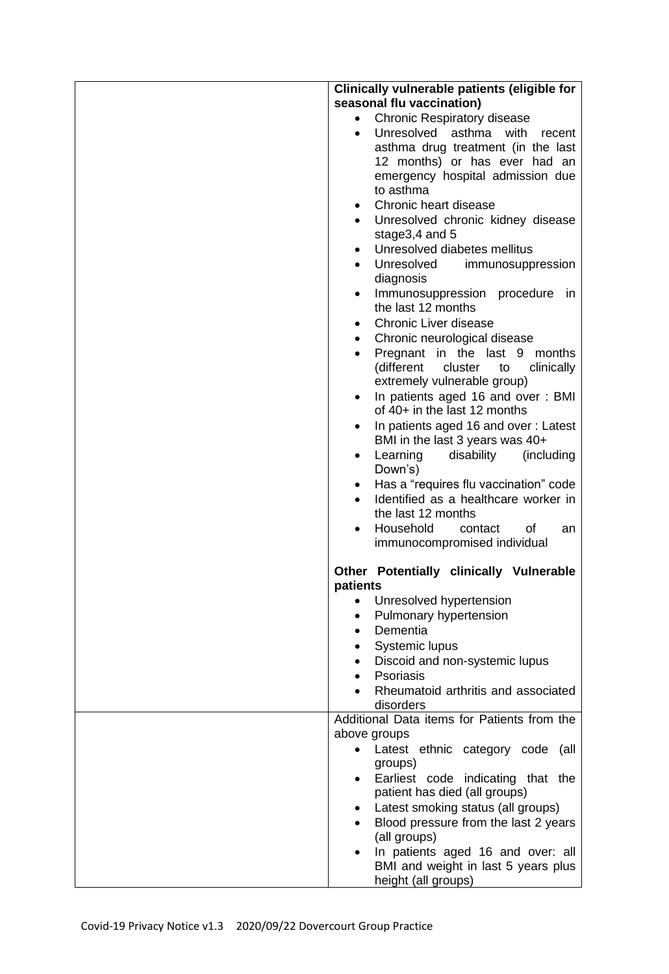| Clinically vulnerable patients (eligible for                                 |
|------------------------------------------------------------------------------|
| seasonal flu vaccination)                                                    |
| <b>Chronic Respiratory disease</b><br>$\bullet$                              |
| Unresolved asthma<br>with<br>recent<br>$\bullet$                             |
| asthma drug treatment (in the last                                           |
| 12 months) or has ever had an                                                |
| emergency hospital admission due                                             |
| to asthma                                                                    |
| Chronic heart disease<br>$\bullet$                                           |
| Unresolved chronic kidney disease<br>$\bullet$<br>stage3,4 and 5             |
| Unresolved diabetes mellitus<br>$\bullet$                                    |
| Unresolved<br>immunosuppression                                              |
| diagnosis                                                                    |
| Immunosuppression procedure<br>in<br>$\bullet$<br>the last 12 months         |
| <b>Chronic Liver disease</b><br>$\bullet$                                    |
| Chronic neurological disease<br>$\bullet$                                    |
| Pregnant in the last 9 months<br>$\bullet$                                   |
| (different<br>cluster<br>to<br>clinically<br>extremely vulnerable group)     |
| In patients aged 16 and over: BMI<br>٠                                       |
| of 40+ in the last 12 months                                                 |
| In patients aged 16 and over: Latest<br>٠<br>BMI in the last 3 years was 40+ |
| Learning<br>disability<br>(including<br>$\bullet$<br>Down's)                 |
| Has a "requires flu vaccination" code<br>$\bullet$                           |
| Identified as a healthcare worker in<br>$\bullet$<br>the last 12 months      |
| Household<br>οf<br>contact<br>an<br>$\bullet$                                |
| immunocompromised individual                                                 |
| Other Potentially clinically Vulnerable<br>patients                          |
| Unresolved hypertension<br>$\bullet$                                         |
| Pulmonary hypertension<br>$\bullet$                                          |
| Dementia<br>$\bullet$                                                        |
| Systemic lupus<br>٠                                                          |
| Discoid and non-systemic lupus                                               |
| Psoriasis                                                                    |
| Rheumatoid arthritis and associated<br>disorders                             |
| Additional Data items for Patients from the                                  |
| above groups                                                                 |
| Latest ethnic category code<br>(all                                          |
| groups)                                                                      |
| Earliest code indicating that the<br>$\bullet$                               |
| patient has died (all groups)                                                |
| Latest smoking status (all groups)<br>$\bullet$                              |
| Blood pressure from the last 2 years                                         |
| (all groups)                                                                 |
| In patients aged 16 and over: all<br>$\bullet$                               |
| BMI and weight in last 5 years plus<br>height (all groups)                   |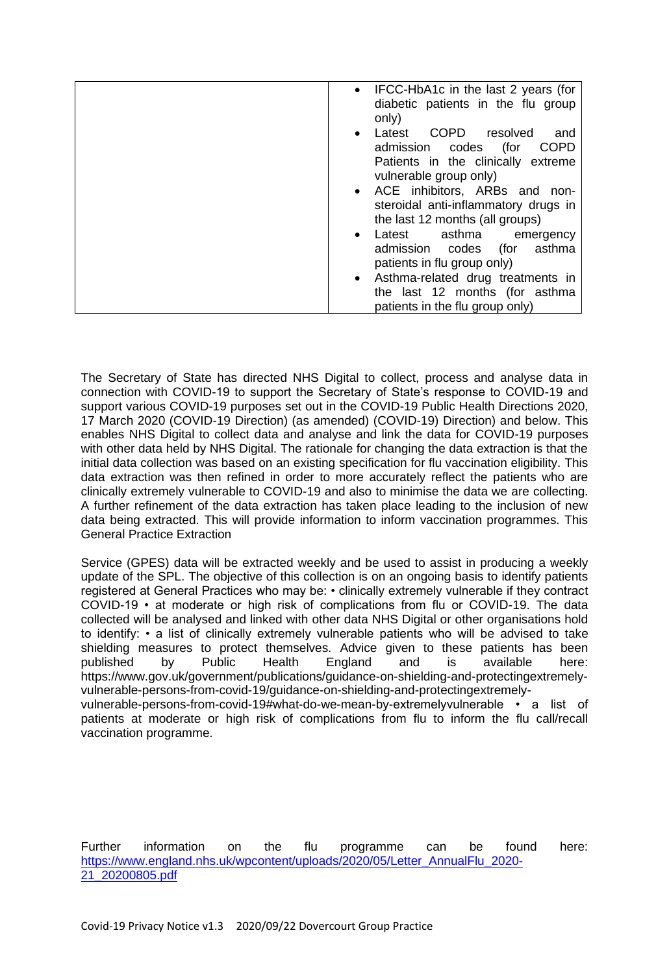| • IFCC-HbA1c in the last 2 years (for<br>diabetic patients in the flu group<br>only)                       |
|------------------------------------------------------------------------------------------------------------|
| COPD resolved<br>Latest<br>and<br>$\bullet$<br><b>COPD</b><br>admission codes<br>(for                      |
| Patients in the clinically extreme<br>vulnerable group only)                                               |
| • ACE inhibitors, ARBs and non-<br>steroidal anti-inflammatory drugs in<br>the last 12 months (all groups) |
| Latest asthma<br>emergency<br>$\bullet$                                                                    |
| asthma<br>admission codes (for                                                                             |
|                                                                                                            |
| patients in flu group only)                                                                                |
| • Asthma-related drug treatments in                                                                        |
| the last 12 months (for asthma                                                                             |
| patients in the flu group only)                                                                            |

The Secretary of State has directed NHS Digital to collect, process and analyse data in connection with COVID-19 to support the Secretary of State's response to COVID-19 and support various COVID-19 purposes set out in the COVID-19 Public Health Directions 2020, 17 March 2020 (COVID-19 Direction) (as amended) (COVID-19) Direction) and below. This enables NHS Digital to collect data and analyse and link the data for COVID-19 purposes with other data held by NHS Digital. The rationale for changing the data extraction is that the initial data collection was based on an existing specification for flu vaccination eligibility. This data extraction was then refined in order to more accurately reflect the patients who are clinically extremely vulnerable to COVID-19 and also to minimise the data we are collecting. A further refinement of the data extraction has taken place leading to the inclusion of new data being extracted. This will provide information to inform vaccination programmes. This General Practice Extraction

Service (GPES) data will be extracted weekly and be used to assist in producing a weekly update of the SPL. The objective of this collection is on an ongoing basis to identify patients registered at General Practices who may be: • clinically extremely vulnerable if they contract COVID-19 • at moderate or high risk of complications from flu or COVID-19. The data collected will be analysed and linked with other data NHS Digital or other organisations hold to identify: • a list of clinically extremely vulnerable patients who will be advised to take shielding measures to protect themselves. Advice given to these patients has been published by Public Health England and is available here: https://www.gov.uk/government/publications/guidance-on-shielding-and-protectingextremelyvulnerable-persons-from-covid-19/guidance-on-shielding-and-protectingextremelyvulnerable-persons-from-covid-19#what-do-we-mean-by-extremelyvulnerable • a list of patients at moderate or high risk of complications from flu to inform the flu call/recall vaccination programme.

Further information on the flu programme can be found here: [https://www.england.nhs.uk/wpcontent/uploads/2020/05/Letter\\_AnnualFlu\\_2020-](https://www.england.nhs.uk/wpcontent/uploads/2020/05/Letter_AnnualFlu_2020-21_20200805.pdf) [21\\_20200805.pdf](https://www.england.nhs.uk/wpcontent/uploads/2020/05/Letter_AnnualFlu_2020-21_20200805.pdf)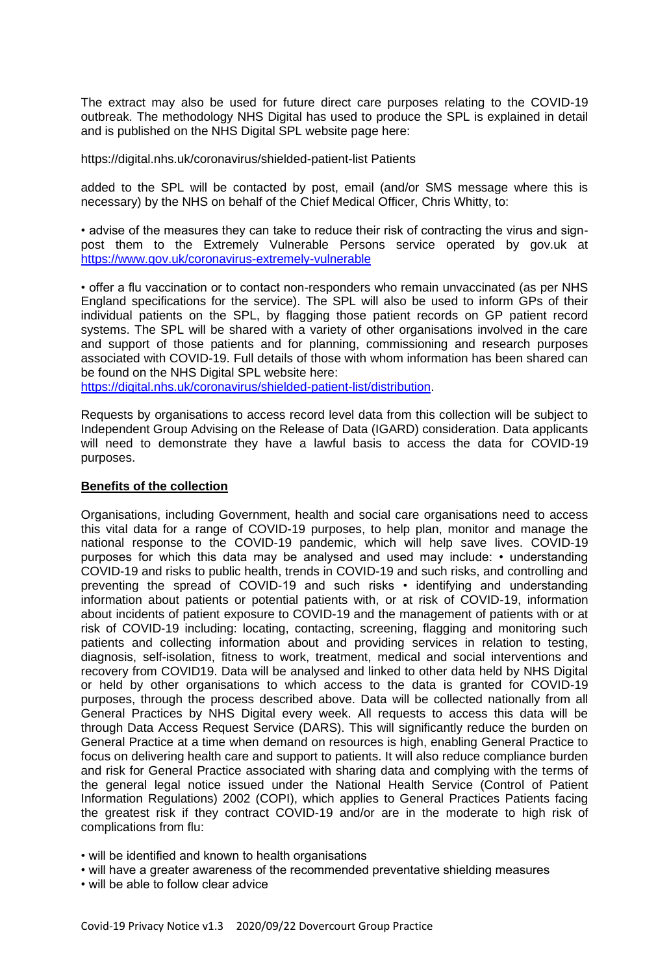The extract may also be used for future direct care purposes relating to the COVID-19 outbreak. The methodology NHS Digital has used to produce the SPL is explained in detail and is published on the NHS Digital SPL website page here:

https://digital.nhs.uk/coronavirus/shielded-patient-list Patients

added to the SPL will be contacted by post, email (and/or SMS message where this is necessary) by the NHS on behalf of the Chief Medical Officer, Chris Whitty, to:

• advise of the measures they can take to reduce their risk of contracting the virus and signpost them to the Extremely Vulnerable Persons service operated by gov.uk at <https://www.gov.uk/coronavirus-extremely-vulnerable>

• offer a flu vaccination or to contact non-responders who remain unvaccinated (as per NHS England specifications for the service). The SPL will also be used to inform GPs of their individual patients on the SPL, by flagging those patient records on GP patient record systems. The SPL will be shared with a variety of other organisations involved in the care and support of those patients and for planning, commissioning and research purposes associated with COVID-19. Full details of those with whom information has been shared can be found on the NHS Digital SPL website here:

[https://digital.nhs.uk/coronavirus/shielded-patient-list/distribution.](https://digital.nhs.uk/coronavirus/shielded-patient-list/distribution)

Requests by organisations to access record level data from this collection will be subject to Independent Group Advising on the Release of Data (IGARD) consideration. Data applicants will need to demonstrate they have a lawful basis to access the data for COVID-19 purposes.

### **Benefits of the collection**

Organisations, including Government, health and social care organisations need to access this vital data for a range of COVID-19 purposes, to help plan, monitor and manage the national response to the COVID-19 pandemic, which will help save lives. COVID-19 purposes for which this data may be analysed and used may include: • understanding COVID-19 and risks to public health, trends in COVID-19 and such risks, and controlling and preventing the spread of COVID-19 and such risks • identifying and understanding information about patients or potential patients with, or at risk of COVID-19, information about incidents of patient exposure to COVID-19 and the management of patients with or at risk of COVID-19 including: locating, contacting, screening, flagging and monitoring such patients and collecting information about and providing services in relation to testing, diagnosis, self-isolation, fitness to work, treatment, medical and social interventions and recovery from COVID19. Data will be analysed and linked to other data held by NHS Digital or held by other organisations to which access to the data is granted for COVID-19 purposes, through the process described above. Data will be collected nationally from all General Practices by NHS Digital every week. All requests to access this data will be through Data Access Request Service (DARS). This will significantly reduce the burden on General Practice at a time when demand on resources is high, enabling General Practice to focus on delivering health care and support to patients. It will also reduce compliance burden and risk for General Practice associated with sharing data and complying with the terms of the general legal notice issued under the National Health Service (Control of Patient Information Regulations) 2002 (COPI), which applies to General Practices Patients facing the greatest risk if they contract COVID-19 and/or are in the moderate to high risk of complications from flu:

• will be identified and known to health organisations

- will have a greater awareness of the recommended preventative shielding measures
- will be able to follow clear advice